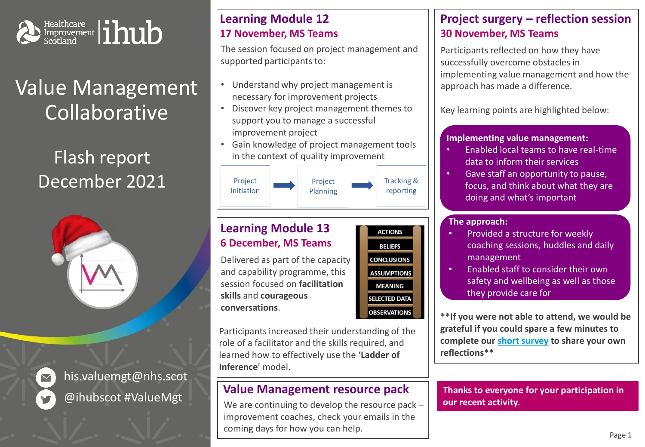

# Value Management Collaborative

# Flash report December 2021





his.valuemgt@nhs.scot @ihubscot #ValueMgt

## **Learning Module 12 17 November, MS Teams**

The session focused on project management and supported participants to:

- Understand why project management is necessary for improvement projects
- Discover key project management themes to support you to manage a successful improvement project
- Gain knowledge of project management tools in the context of quality improvement



### **Learning Module 13 6 December, MS Teams**

Delivered as part of the capacity and capability programme, this session focused on **facilitation skills** and **courageous conversations**.



Participants increased their understanding of the role of a facilitator and the skills required, and learned how to effectively use the '**Ladder of Inference**' model.

## **Value Management resource pack**

We are continuing to develop the resource pack – improvement coaches, check your emails in the coming days for how you can help.

## **Project surgery – reflection session 30 November, MS Teams**

Participants reflected on how they have successfully overcome obstacles in implementing value management and how the approach has made a difference.

Key learning points are highlighted below:

#### **Implementing value management:**

- Enabled local teams to have real-time data to inform their services
- Gave staff an opportunity to pause, focus, and think about what they are doing and what's important

#### **The approach:**

- Provided a structure for weekly coaching sessions, huddles and daily management
- Enabled staff to consider their own safety and wellbeing as well as those they provide care for

**\*\*If you were not able to attend, we would be grateful if you could spare a few minutes to complete our [short survey](https://forms.office.com/Pages/ResponsePage.aspx?id=veDvEDCgykuAnLXmdF5JmrPGzrHCbjtEjehTpWeYvDBUMEk3RzVFS1JETTZWT1dBTUUxN0xGOTBNTS4u) to share your own reflections\*\***

**Thanks to everyone for your participation in our recent activity.**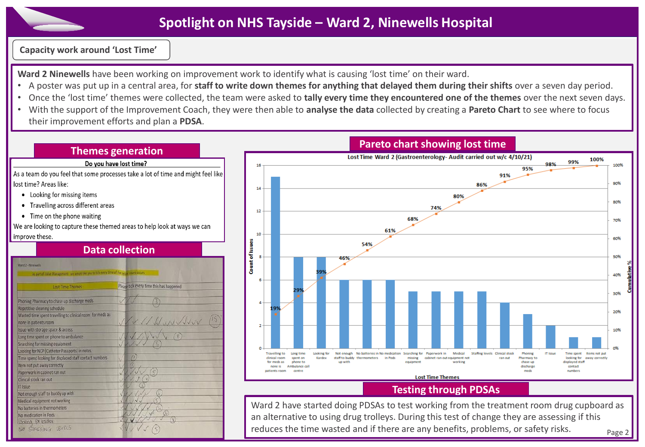## **Spotlight on NHS Tayside – Ward 2, Ninewells Hospital**

**Capacity work around 'Lost Time'**

**Ward 2 Ninewells** have been working on improvement work to identify what is causing 'lost time' on their ward.

- A poster was put up in a central area, for **staff to write down themes for anything that delayed them during their shifts** over a seven day period.
- Once the 'lost time' themes were collected, the team were asked to **tally every time they encountered one of the themes** over the next seven days.
- With the support of the Improvement Coach, they were then able to **analyse the data** collected by creating a **Pareto Chart** to see where to focus their improvement efforts and plan a **PDSA**.

#### **Themes generation**

#### Do you have lost time?

As a team do you feel that some processes take a lot of time and might feel like lost time? Areas like:

- Looking for missing items
- Travelling across different areas
- Time on the phone waiting

We are looking to capture these themed areas to help look at ways we can

#### improve these. **Data collection** Ward 2 - Ninewells Please tick every time this has happened **Lost Time Themes** Phoning Pharmacy to chase up discharge meds Repetitive cleaning schedule Wasted time spent travelling to clinical room for meds as WUNNIV none in patients room Issue with storage space & access Long time spent on phone to ambulance Searching for missing equipment Looking for NCP (Catheter Passports) in notes Time spend looking for displaced staff contact numbers Item not put away correctly Paperwork in cabinet ran out Clinical stock ran out **IT Issue** Not enough staff to buddy up with Medical equipment not working No batteries in thermometers No medication in Pods Looking for kaldex NO STAFFING LEVELS

#### **Pareto chart showing lost time**



#### **Testing through PDSAs**

Ward 2 have started doing PDSAs to test working from the treatment room drug cupboard as an alternative to using drug trolleys. During this test of change they are assessing if this reduces the time wasted and if there are any benefits, problems, or safety risks. Page 2